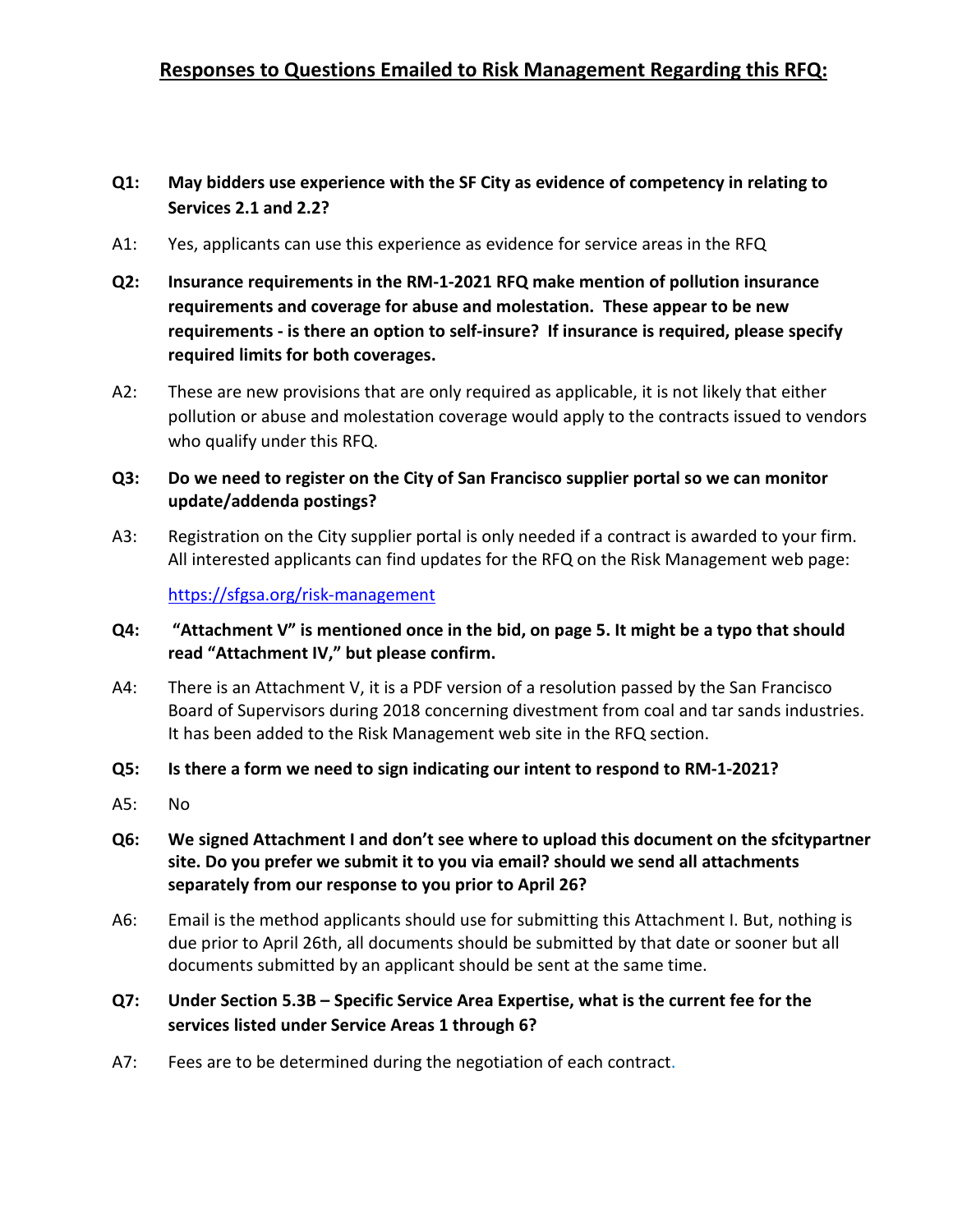## **Q1: May bidders use experience with the SF City as evidence of competency in relating to Services 2.1 and 2.2?**

- A1: Yes, applicants can use this experience as evidence for service areas in the RFQ
- **Q2: Insurance requirements in the RM-1-2021 RFQ make mention of pollution insurance requirements and coverage for abuse and molestation. These appear to be new requirements - is there an option to self-insure? If insurance is required, please specify required limits for both coverages.**
- A2: These are new provisions that are only required as applicable, it is not likely that either pollution or abuse and molestation coverage would apply to the contracts issued to vendors who qualify under this RFQ.

## **Q3: Do we need to register on the City of San Francisco supplier portal so we can monitor update/addenda postings?**

A3: Registration on the City supplier portal is only needed if a contract is awarded to your firm. All interested applicants can find updates for the RFQ on the Risk Management web page:

<https://sfgsa.org/risk-management>

- **Q4: "Attachment V" is mentioned once in the bid, on page 5. It might be a typo that should read "Attachment IV," but please confirm.**
- A4: There is an Attachment V, it is a PDF version of a resolution passed by the San Francisco Board of Supervisors during 2018 concerning divestment from coal and tar sands industries. It has been added to the Risk Management web site in the RFQ section.
- **Q5: Is there a form we need to sign indicating our intent to respond to RM-1-2021?**
- A5: No
- **Q6: We signed Attachment I and don't see where to upload this document on the sfcitypartner site. Do you prefer we submit it to you via email? should we send all attachments separately from our response to you prior to April 26?**
- A6: Email is the method applicants should use for submitting this Attachment I. But, nothing is due prior to April 26th, all documents should be submitted by that date or sooner but all documents submitted by an applicant should be sent at the same time.
- **Q7: Under Section 5.3B – Specific Service Area Expertise, what is the current fee for the services listed under Service Areas 1 through 6?**
- A7: Fees are to be determined during the negotiation of each contract.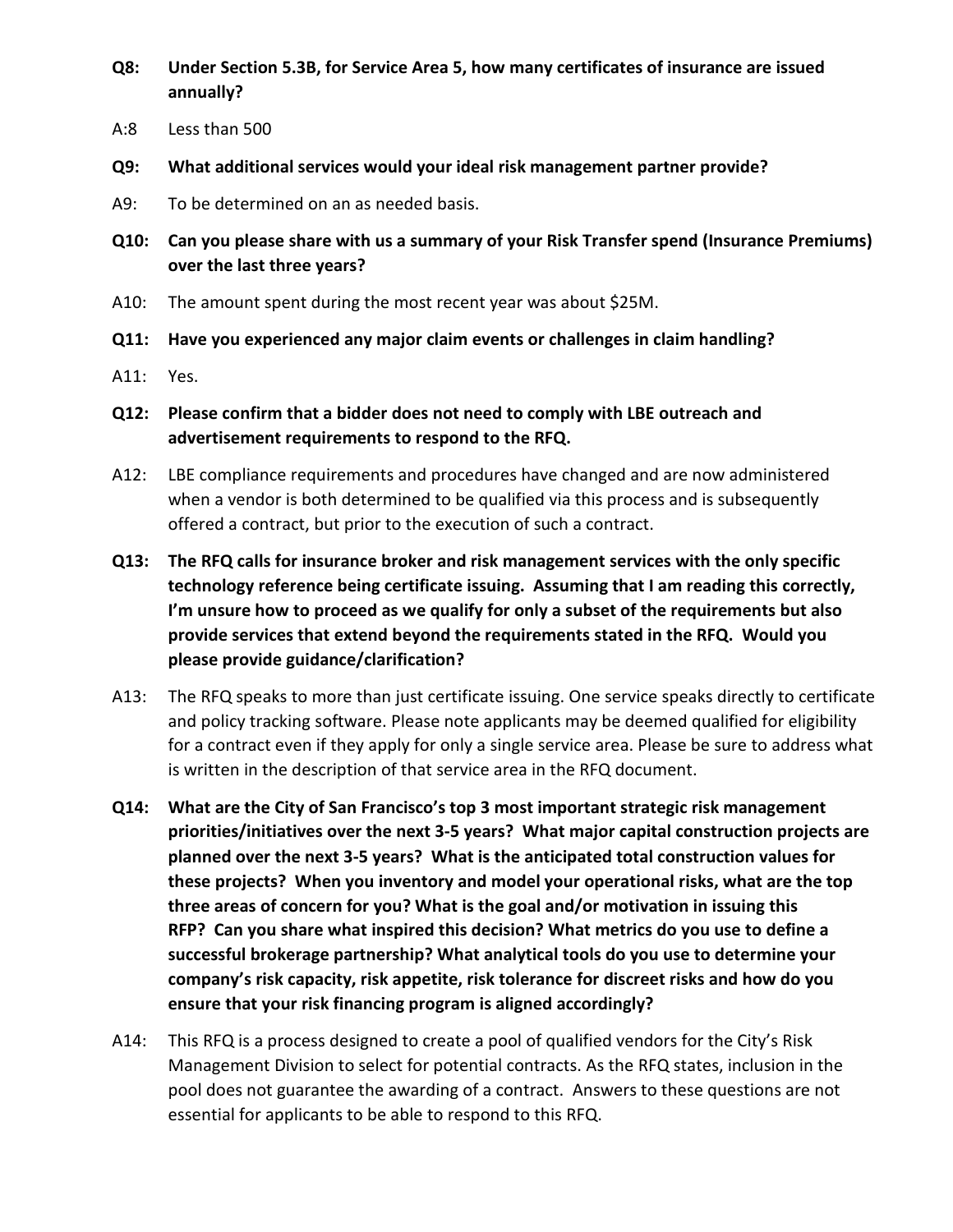- **Q8: Under Section 5.3B, for Service Area 5, how many certificates of insurance are issued annually?**
- A:8 Less than 500
- **Q9: What additional services would your ideal risk management partner provide?**
- A9: To be determined on an as needed basis.
- **Q10: Can you please share with us a summary of your Risk Transfer spend (Insurance Premiums) over the last three years?**
- A10: The amount spent during the most recent year was about \$25M.
- **Q11: Have you experienced any major claim events or challenges in claim handling?**
- A11: Yes.
- **Q12: Please confirm that a bidder does not need to comply with LBE outreach and advertisement requirements to respond to the RFQ.**
- A12: LBE compliance requirements and procedures have changed and are now administered when a vendor is both determined to be qualified via this process and is subsequently offered a contract, but prior to the execution of such a contract.
- **Q13: The RFQ calls for insurance broker and risk management services with the only specific technology reference being certificate issuing. Assuming that I am reading this correctly, I'm unsure how to proceed as we qualify for only a subset of the requirements but also provide services that extend beyond the requirements stated in the RFQ. Would you please provide guidance/clarification?**
- A13: The RFQ speaks to more than just certificate issuing. One service speaks directly to certificate and policy tracking software. Please note applicants may be deemed qualified for eligibility for a contract even if they apply for only a single service area. Please be sure to address what is written in the description of that service area in the RFQ document.
- **Q14: What are the City of San Francisco's top 3 most important strategic risk management priorities/initiatives over the next 3-5 years? What major capital construction projects are planned over the next 3-5 years? What is the anticipated total construction values for these projects? When you inventory and model your operational risks, what are the top three areas of concern for you? What is the goal and/or motivation in issuing this RFP? Can you share what inspired this decision? What metrics do you use to define a successful brokerage partnership? What analytical tools do you use to determine your company's risk capacity, risk appetite, risk tolerance for discreet risks and how do you ensure that your risk financing program is aligned accordingly?**
- A14: This RFQ is a process designed to create a pool of qualified vendors for the City's Risk Management Division to select for potential contracts. As the RFQ states, inclusion in the pool does not guarantee the awarding of a contract. Answers to these questions are not essential for applicants to be able to respond to this RFQ.